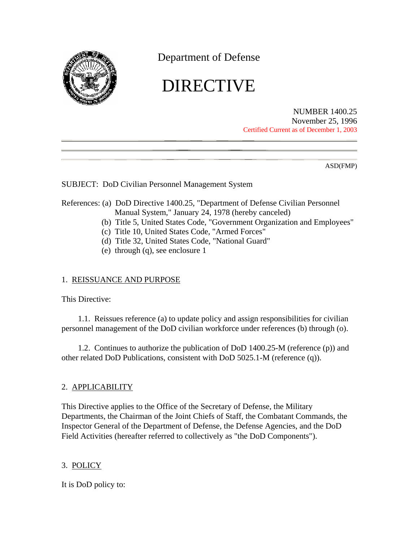

Department of Defense

# DIRECTIVE

NUMBER 1400.25 November 25, 1996 Certified Current as of December 1, 2003

ASD(FMP)

SUBJECT: DoD Civilian Personnel Management System

## References: (a) DoD Directive 1400.25, "Department of Defense Civilian Personnel Manual System," January 24, 1978 (hereby canceled)

- (b) Title 5, United States Code, "Government Organization and Employees"
- (c) Title 10, United States Code, "Armed Forces"
- (d) Title 32, United States Code, "National Guard"
- (e) through (q), see enclosure 1

## 1. REISSUANCE AND PURPOSE

This Directive:

1.1. Reissues reference (a) to update policy and assign responsibilities for civilian personnel management of the DoD civilian workforce under references (b) through (o).

1.2. Continues to authorize the publication of DoD 1400.25-M (reference (p)) and other related DoD Publications, consistent with DoD 5025.1-M (reference (q)).

# 2. APPLICABILITY

This Directive applies to the Office of the Secretary of Defense, the Military Departments, the Chairman of the Joint Chiefs of Staff, the Combatant Commands, the Inspector General of the Department of Defense, the Defense Agencies, and the DoD Field Activities (hereafter referred to collectively as "the DoD Components").

# 3. POLICY

It is DoD policy to: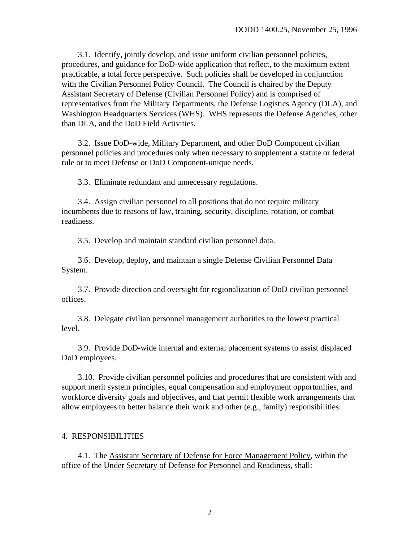3.1. Identify, jointly develop, and issue uniform civilian personnel policies, procedures, and guidance for DoD-wide application that reflect, to the maximum extent practicable, a total force perspective. Such policies shall be developed in conjunction with the Civilian Personnel Policy Council. The Council is chaired by the Deputy Assistant Secretary of Defense (Civilian Personnel Policy) and is comprised of representatives from the Military Departments, the Defense Logistics Agency (DLA), and Washington Headquarters Services (WHS). WHS represents the Defense Agencies, other than DLA, and the DoD Field Activities.

3.2. Issue DoD-wide, Military Department, and other DoD Component civilian personnel policies and procedures only when necessary to supplement a statute or federal rule or to meet Defense or DoD Component-unique needs.

3.3. Eliminate redundant and unnecessary regulations.

3.4. Assign civilian personnel to all positions that do not require military incumbents due to reasons of law, training, security, discipline, rotation, or combat readiness.

3.5. Develop and maintain standard civilian personnel data.

3.6. Develop, deploy, and maintain a single Defense Civilian Personnel Data System.

3.7. Provide direction and oversight for regionalization of DoD civilian personnel offices.

3.8. Delegate civilian personnel management authorities to the lowest practical level.

3.9. Provide DoD-wide internal and external placement systems to assist displaced DoD employees.

3.10. Provide civilian personnel policies and procedures that are consistent with and support merit system principles, equal compensation and employment opportunities, and workforce diversity goals and objectives, and that permit flexible work arrangements that allow employees to better balance their work and other (e.g., family) responsibilities.

#### 4. RESPONSIBILITIES

4.1. The Assistant Secretary of Defense for Force Management Policy, within the office of the Under Secretary of Defense for Personnel and Readiness, shall: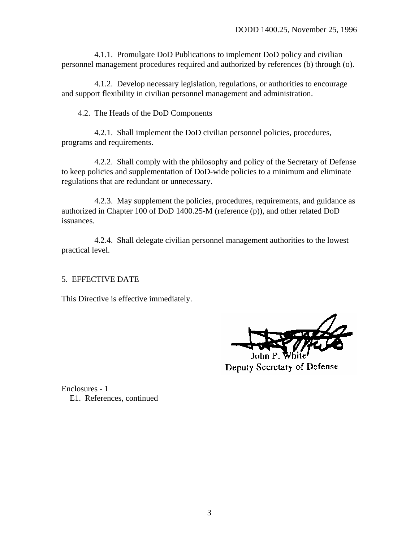4.1.1. Promulgate DoD Publications to implement DoD policy and civilian personnel management procedures required and authorized by references (b) through (o).

4.1.2. Develop necessary legislation, regulations, or authorities to encourage and support flexibility in civilian personnel management and administration.

#### 4.2. The Heads of the DoD Components

4.2.1. Shall implement the DoD civilian personnel policies, procedures, programs and requirements.

4.2.2. Shall comply with the philosophy and policy of the Secretary of Defense to keep policies and supplementation of DoD-wide policies to a minimum and eliminate regulations that are redundant or unnecessary.

4.2.3. May supplement the policies, procedures, requirements, and guidance as authorized in Chapter 100 of DoD 1400.25-M (reference (p)), and other related DoD issuances.

4.2.4. Shall delegate civilian personnel management authorities to the lowest practical level.

## 5. EFFECTIVE DATE

This Directive is effective immediately.

Deputy Secretary of Defense

Enclosures - 1 E1. References, continued